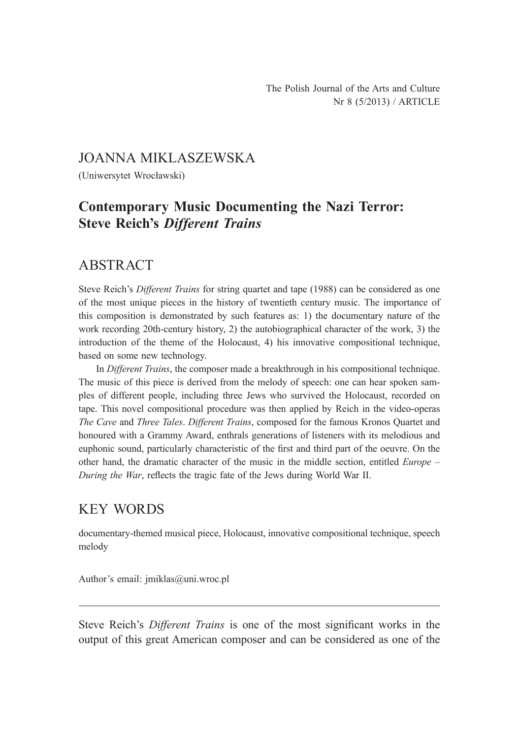### JOANNA MIKLASZEWSKA

(Uniwersytet Wrocławski)

# **Contemporary Music Documenting the Nazi Terror: Steve Reich's** *Different Trains*

## ABSTRACT

Steve Reich's *Different Trains* for string quartet and tape (1988) can be considered as one of the most unique pieces in the history of twentieth century music. The importance of this composition is demonstrated by such features as: 1) the documentary nature of the work recording 20th-century history, 2) the autobiographical character of the work, 3) the introduction of the theme of the Holocaust, 4) his innovative compositional technique, based on some new technology.

In *Different Trains*, the composer made a breakthrough in his compositional technique. The music of this piece is derived from the melody of speech: one can hear spoken samples of different people, including three Jews who survived the Holocaust, recorded on tape. This novel compositional procedure was then applied by Reich in the video-operas *The Cave* and *Three Tales*. *Different Trains*, composed for the famous Kronos Quartet and honoured with a Grammy Award, enthrals generations of listeners with its melodious and euphonic sound, particularly characteristic of the first and third part of the oeuvre. On the other hand, the dramatic character of the music in the middle section, entitled *Europe – During the War*, reflects the tragic fate of the Jews during World War II.

# KEY WORDS

documentary-themed musical piece, Holocaust, innovative compositional technique, speech melody

Author's email: jmiklas@uni.wroc.pl

Steve Reich's *Different Trains* is one of the most significant works in the output of this great American composer and can be considered as one of the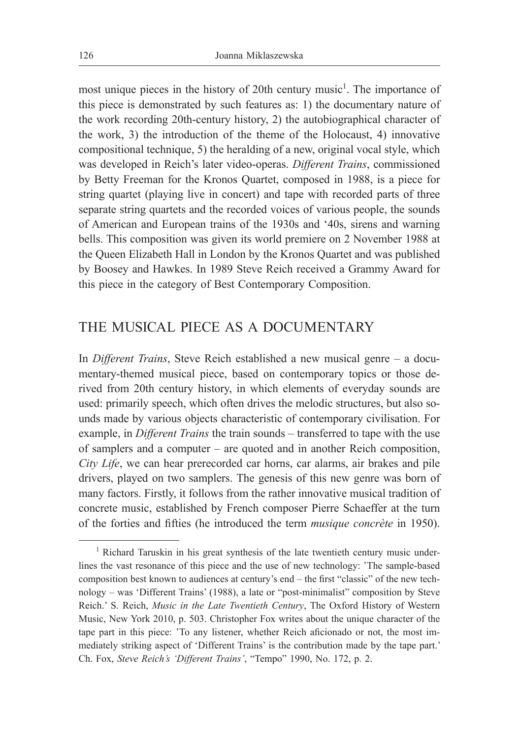most unique pieces in the history of 20th century music<sup>1</sup>. The importance of this piece is demonstrated by such features as: 1) the documentary nature of the work recording 20th-century history, 2) the autobiographical character of the work, 3) the introduction of the theme of the Holocaust, 4) innovative compositional technique, 5) the heralding of a new, original vocal style, which was developed in Reich's later video-operas. *Different Trains*, commissioned by Betty Freeman for the Kronos Quartet, composed in 1988, is a piece for string quartet (playing live in concert) and tape with recorded parts of three separate string quartets and the recorded voices of various people, the sounds of American and European trains of the 1930s and '40s, sirens and warning bells. This composition was given its world premiere on 2 November 1988 at the Queen Elizabeth Hall in London by the Kronos Quartet and was published by Boosey and Hawkes. In 1989 Steve Reich received a Grammy Award for this piece in the category of Best Contemporary Composition.

### THE MUSICAL PIECE AS A DOCUMENTARY

In *Different Trains*, Steve Reich established a new musical genre – a documentary-themed musical piece, based on contemporary topics or those derived from 20th century history, in which elements of everyday sounds are used: primarily speech, which often drives the melodic structures, but also sounds made by various objects characteristic of contemporary civilisation. For example, in *Different Trains* the train sounds – transferred to tape with the use of samplers and a computer – are quoted and in another Reich composition, *City Life*, we can hear prerecorded car horns, car alarms, air brakes and pile drivers, played on two samplers. The genesis of this new genre was born of many factors. Firstly, it follows from the rather innovative musical tradition of concrete music, established by French composer Pierre Schaeffer at the turn of the forties and fifties (he introduced the term *musique concrète* in 1950).

<sup>&</sup>lt;sup>1</sup> Richard Taruskin in his great synthesis of the late twentieth century music underlines the vast resonance of this piece and the use of new technology: 'The sample-based composition best known to audiences at century's end – the first "classic" of the new technology – was 'Different Trains' (1988), a late or "post-minimalist" composition by Steve Reich.' S. Reich, *Music in the Late Twentieth Century*, The Oxford History of Western Music, New York 2010, p. 503. Christopher Fox writes about the unique character of the tape part in this piece: 'To any listener, whether Reich aficionado or not, the most immediately striking aspect of 'Different Trains' is the contribution made by the tape part.' Ch. Fox, *Steve Reich's 'Different Trains'*, "Tempo" 1990, No. 172, p. 2.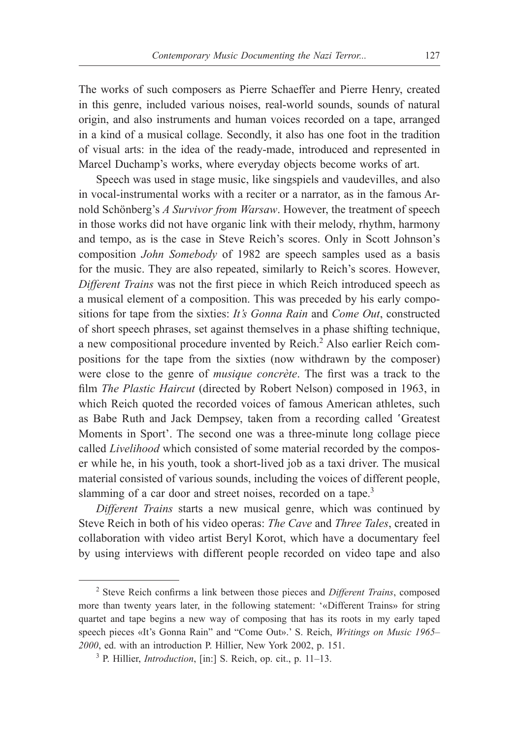The works of such composers as Pierre Schaeffer and Pierre Henry, created in this genre, included various noises, real-world sounds, sounds of natural origin, and also instruments and human voices recorded on a tape, arranged in a kind of a musical collage. Secondly, it also has one foot in the tradition of visual arts: in the idea of the ready-made, introduced and represented in Marcel Duchamp's works, where everyday objects become works of art.

Speech was used in stage music, like singspiels and vaudevilles, and also in vocal-instrumental works with a reciter or a narrator, as in the famous Arnold Schönberg's *A Survivor from Warsaw*. However, the treatment of speech in those works did not have organic link with their melody, rhythm, harmony and tempo, as is the case in Steve Reich's scores. Only in Scott Johnson's composition *John Somebody* of 1982 are speech samples used as a basis for the music. They are also repeated, similarly to Reich's scores. However, *Different Trains* was not the first piece in which Reich introduced speech as a musical element of a composition. This was preceded by his early compositions for tape from the sixties: *It's Gonna Rain* and *Come Out*, constructed of short speech phrases, set against themselves in a phase shifting technique, a new compositional procedure invented by Reich.<sup>2</sup> Also earlier Reich compositions for the tape from the sixties (now withdrawn by the composer) were close to the genre of *musique concrète*. The first was a track to the film *The Plastic Haircut* (directed by Robert Nelson) composed in 1963, in which Reich quoted the recorded voices of famous American athletes, such as Babe Ruth and Jack Dempsey, taken from a recording called 'Greatest Moments in Sport'. The second one was a three-minute long collage piece called *Livelihood* which consisted of some material recorded by the composer while he, in his youth, took a short-lived job as a taxi driver. The musical material consisted of various sounds, including the voices of different people, slamming of a car door and street noises, recorded on a tape.<sup>3</sup>

*Different Trains* starts a new musical genre, which was continued by Steve Reich in both of his video operas: *The Cave* and *Three Tales*, created in collaboration with video artist Beryl Korot, which have a documentary feel by using interviews with different people recorded on video tape and also

<sup>2</sup> Steve Reich confirms a link between those pieces and *Different Trains*, composed more than twenty years later, in the following statement: '«Different Trains» for string quartet and tape begins a new way of composing that has its roots in my early taped speech pieces «It's Gonna Rain" and "Come Out».' S. Reich, *Writings on Music 1965– 2000*, ed. with an introduction P. Hillier, New York 2002, p. 151.

<sup>3</sup> P. Hillier, *Introduction*, [in:] S. Reich, op. cit., p. 11–13.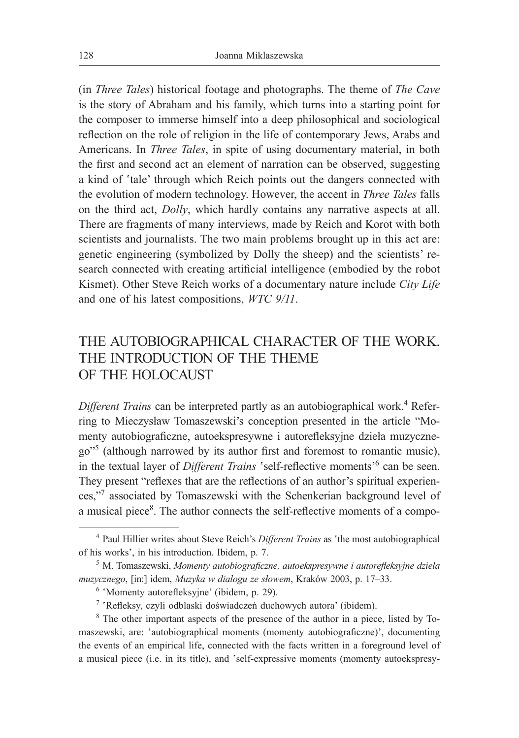(in *Three Tales*) historical footage and photographs. The theme of *The Cave*  is the story of Abraham and his family, which turns into a starting point for the composer to immerse himself into a deep philosophical and sociological reflection on the role of religion in the life of contemporary Jews, Arabs and Americans. In *Three Tales*, in spite of using documentary material, in both the first and second act an element of narration can be observed, suggesting a kind of 'tale' through which Reich points out the dangers connected with the evolution of modern technology. However, the accent in *Three Tales* falls on the third act, *Dolly*, which hardly contains any narrative aspects at all. There are fragments of many interviews, made by Reich and Korot with both scientists and journalists. The two main problems brought up in this act are: genetic engineering (symbolized by Dolly the sheep) and the scientists' research connected with creating artificial intelligence (embodied by the robot Kismet). Other Steve Reich works of a documentary nature include *City Life* and one of his latest compositions, *WTC 9/11*.

## THE AUTOBIOGRAPHICAL CHARACTER OF THE WORK. THE INTRODUCTION OF THE THEME OF THE HOLOCAUST

Different Trains can be interpreted partly as an autobiographical work.<sup>4</sup> Referring to Mieczysław Tomaszewski's conception presented in the article "Momenty autobiograficzne, autoekspresywne i autorefleksyjne dzieła muzycznego"<sup>5</sup> (although narrowed by its author first and foremost to romantic music), in the textual layer of *Different Trains* 'self-reflective moments<sup>'6</sup> can be seen. They present "reflexes that are the reflections of an author's spiritual experiences,"7 associated by Tomaszewski with the Schenkerian background level of a musical piece<sup>8</sup>. The author connects the self-reflective moments of a compo-

<sup>4</sup> Paul Hillier writes about Steve Reich's *Different Trains* as 'the most autobiographical of his works', in his introduction. Ibidem, p. 7.

<sup>5</sup> M. Tomaszewski, *Momenty autobiograficzne, autoekspresywne i autorefleksyjne dzieła muzycznego*, [in:] idem, *Muzyka w dialogu ze słowem*, Kraków 2003, p. 17–33.

<sup>6</sup> 'Momenty autorefleksyjne' (ibidem, p. 29).

<sup>7</sup> 'Refleksy, czyli odblaski doświadczeń duchowych autora' (ibidem).

<sup>&</sup>lt;sup>8</sup> The other important aspects of the presence of the author in a piece, listed by Tomaszewski, are: 'autobiographical moments (momenty autobiograficzne)', documenting the events of an empirical life, connected with the facts written in a foreground level of a musical piece (i.e. in its title), and 'self-expressive moments (momenty autoekspresy-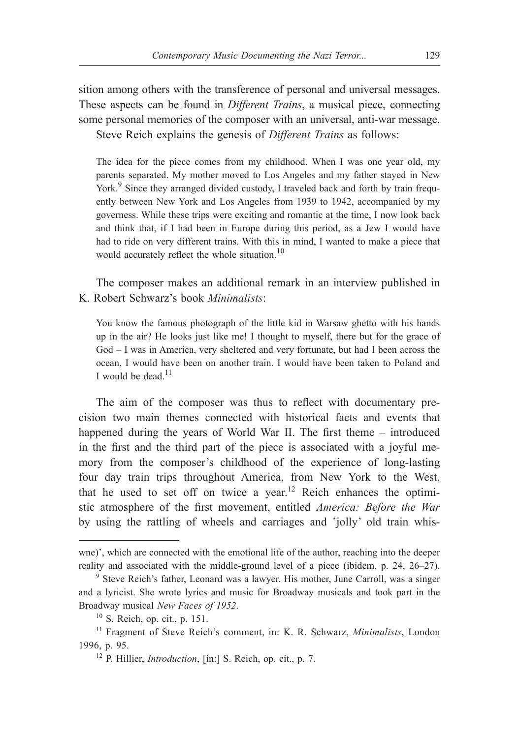sition among others with the transference of personal and universal messages. These aspects can be found in *Different Trains*, a musical piece, connecting some personal memories of the composer with an universal, anti-war message. Steve Reich explains the genesis of *Different Trains* as follows:

The idea for the piece comes from my childhood. When I was one year old, my parents separated. My mother moved to Los Angeles and my father stayed in New York.<sup>9</sup> Since they arranged divided custody, I traveled back and forth by train frequently between New York and Los Angeles from 1939 to 1942, accompanied by my governess. While these trips were exciting and romantic at the time, I now look back and think that, if I had been in Europe during this period, as a Jew I would have had to ride on very different trains. With this in mind, I wanted to make a piece that would accurately reflect the whole situation.<sup>10</sup>

The composer makes an additional remark in an interview published in K. Robert Schwarz's book *Minimalists*:

You know the famous photograph of the little kid in Warsaw ghetto with his hands up in the air? He looks just like me! I thought to myself, there but for the grace of God – I was in America, very sheltered and very fortunate, but had I been across the ocean, I would have been on another train. I would have been taken to Poland and I would be dead. $11$ 

The aim of the composer was thus to reflect with documentary precision two main themes connected with historical facts and events that happened during the years of World War II. The first theme – introduced in the first and the third part of the piece is associated with a joyful memory from the composer's childhood of the experience of long-lasting four day train trips throughout America, from New York to the West, that he used to set off on twice a year.12 Reich enhances the optimistic atmosphere of the first movement, entitled *America: Before the War* by using the rattling of wheels and carriages and 'jolly' old train whis-

wne)', which are connected with the emotional life of the author, reaching into the deeper reality and associated with the middle-ground level of a piece (ibidem, p. 24, 26–27).

<sup>9</sup> Steve Reich's father, Leonard was a lawyer. His mother, June Carroll, was a singer and a lyricist. She wrote lyrics and music for Broadway musicals and took part in the Broadway musical *New Faces of 1952*. 10 S. Reich, op. cit., p. 151.

<sup>11</sup> Fragment of Steve Reich's comment, in: K. R. Schwarz, *Minimalists*, London 1996, p. 95.

<sup>12</sup> P. Hillier, *Introduction*, [in:] S. Reich, op. cit., p. 7.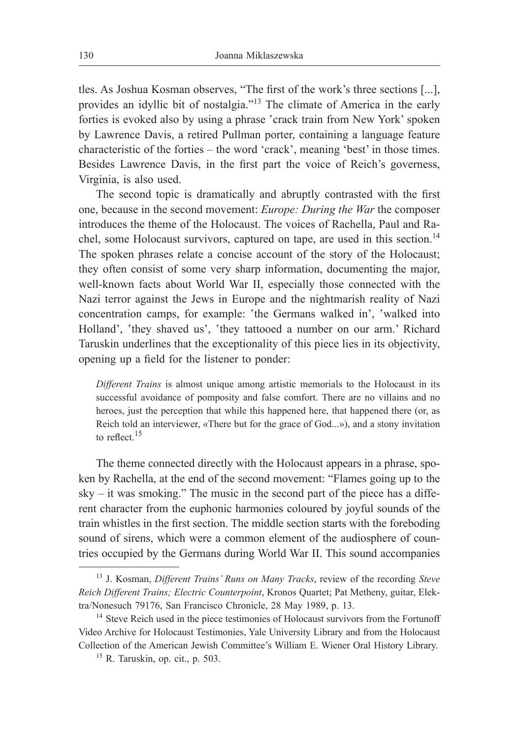tles. As Joshua Kosman observes, "The first of the work's three sections [...], provides an idyllic bit of nostalgia."13 The climate of America in the early forties is evoked also by using a phrase 'crack train from New York' spoken by Lawrence Davis, a retired Pullman porter, containing a language feature characteristic of the forties – the word 'crack', meaning 'best' in those times. Besides Lawrence Davis, in the first part the voice of Reich's governess, Virginia, is also used.

The second topic is dramatically and abruptly contrasted with the first one, because in the second movement: *Europe: During the War* the composer introduces the theme of the Holocaust. The voices of Rachella, Paul and Rachel, some Holocaust survivors, captured on tape, are used in this section.<sup>14</sup> The spoken phrases relate a concise account of the story of the Holocaust; they often consist of some very sharp information, documenting the major, well-known facts about World War II, especially those connected with the Nazi terror against the Jews in Europe and the nightmarish reality of Nazi concentration camps, for example: 'the Germans walked in', 'walked into Holland', 'they shaved us', 'they tattooed a number on our arm.' Richard Taruskin underlines that the exceptionality of this piece lies in its objectivity, opening up a field for the listener to ponder:

*Different Trains* is almost unique among artistic memorials to the Holocaust in its successful avoidance of pomposity and false comfort. There are no villains and no heroes, just the perception that while this happened here, that happened there (or, as Reich told an interviewer, «There but for the grace of God...»), and a stony invitation to reflect.<sup>15</sup>

The theme connected directly with the Holocaust appears in a phrase, spoken by Rachella, at the end of the second movement: "Flames going up to the  $sky - it was smoking. The music in the second part of the piece has a differ$ rent character from the euphonic harmonies coloured by joyful sounds of the train whistles in the first section. The middle section starts with the foreboding sound of sirens, which were a common element of the audiosphere of countries occupied by the Germans during World War II. This sound accompanies

<sup>13</sup> J. Kosman, *Different Trains' Runs on Many Tracks*, review of the recording *Steve Reich Different Trains; Electric Counterpoint*, Kronos Quartet; Pat Metheny, guitar, Elektra/Nonesuch 79176, San Francisco Chronicle, 28 May 1989, p. 13.

<sup>&</sup>lt;sup>14</sup> Steve Reich used in the piece testimonies of Holocaust survivors from the Fortunoff Video Archive for Holocaust Testimonies, Yale University Library and from the Holocaust Collection of the American Jewish Committee's William E. Wiener Oral History Library.

 $15$  R. Taruskin, op. cit., p. 503.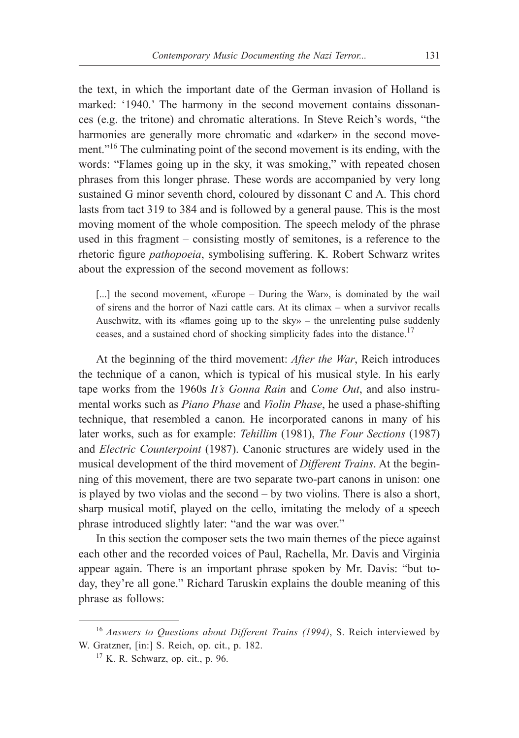the text, in which the important date of the German invasion of Holland is marked: '1940.' The harmony in the second movement contains dissonances (e.g. the tritone) and chromatic alterations. In Steve Reich's words, "the harmonies are generally more chromatic and «darker» in the second movement."<sup>16</sup> The culminating point of the second movement is its ending, with the words: "Flames going up in the sky, it was smoking," with repeated chosen phrases from this longer phrase. These words are accompanied by very long sustained G minor seventh chord, coloured by dissonant C and A. This chord lasts from tact 319 to 384 and is followed by a general pause. This is the most moving moment of the whole composition. The speech melody of the phrase used in this fragment – consisting mostly of semitones, is a reference to the rhetoric figure *pathopoeia*, symbolising suffering. K. Robert Schwarz writes about the expression of the second movement as follows:

[...] the second movement, «Europe – During the War», is dominated by the wail of sirens and the horror of Nazi cattle cars. At its climax – when a survivor recalls Auschwitz, with its «flames going up to the sky» – the unrelenting pulse suddenly ceases, and a sustained chord of shocking simplicity fades into the distance.<sup>17</sup>

At the beginning of the third movement: *After the War*, Reich introduces the technique of a canon, which is typical of his musical style. In his early tape works from the 1960s *It's Gonna Rain* and *Come Out*, and also instrumental works such as *Piano Phase* and *Violin Phase*, he used a phase-shifting technique, that resembled a canon. He incorporated canons in many of his later works, such as for example: *Tehillim* (1981), *The Four Sections* (1987) and *Electric Counterpoint* (1987). Canonic structures are widely used in the musical development of the third movement of *Different Trains*. At the beginning of this movement, there are two separate two-part canons in unison: one is played by two violas and the second – by two violins. There is also a short, sharp musical motif, played on the cello, imitating the melody of a speech phrase introduced slightly later: "and the war was over."

In this section the composer sets the two main themes of the piece against each other and the recorded voices of Paul, Rachella, Mr. Davis and Virginia appear again. There is an important phrase spoken by Mr. Davis: "but today, they're all gone." Richard Taruskin explains the double meaning of this phrase as follows:

<sup>16</sup> *Answers to Questions about Different Trains (1994)*, S. Reich interviewed by W. Gratzner, [in:] S. Reich, op. cit., p. 182.

 $17$  K. R. Schwarz, op. cit., p. 96.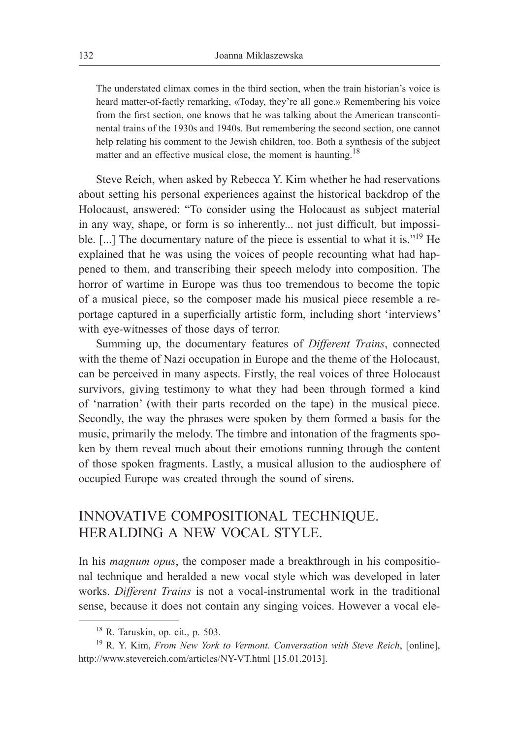The understated climax comes in the third section, when the train historian's voice is heard matter-of-factly remarking, «Today, they're all gone.» Remembering his voice from the first section, one knows that he was talking about the American transcontinental trains of the 1930s and 1940s. But remembering the second section, one cannot help relating his comment to the Jewish children, too. Both a synthesis of the subject matter and an effective musical close, the moment is haunting.<sup>18</sup>

Steve Reich, when asked by Rebecca Y. Kim whether he had reservations about setting his personal experiences against the historical backdrop of the Holocaust, answered: "To consider using the Holocaust as subject material in any way, shape, or form is so inherently... not just difficult, but impossible. [...] The documentary nature of the piece is essential to what it is."19 He explained that he was using the voices of people recounting what had happened to them, and transcribing their speech melody into composition. The horror of wartime in Europe was thus too tremendous to become the topic of a musical piece, so the composer made his musical piece resemble a reportage captured in a superficially artistic form, including short 'interviews' with eye-witnesses of those days of terror.

Summing up, the documentary features of *Different Trains*, connected with the theme of Nazi occupation in Europe and the theme of the Holocaust, can be perceived in many aspects. Firstly, the real voices of three Holocaust survivors, giving testimony to what they had been through formed a kind of 'narration' (with their parts recorded on the tape) in the musical piece. Secondly, the way the phrases were spoken by them formed a basis for the music, primarily the melody. The timbre and intonation of the fragments spoken by them reveal much about their emotions running through the content of those spoken fragments. Lastly, a musical allusion to the audiosphere of occupied Europe was created through the sound of sirens.

# INNOVATIVE COMPOSITIONAL TECHNIQUE. HERALDING A NEW VOCAL STYLE.

In his *magnum opus*, the composer made a breakthrough in his compositional technique and heralded a new vocal style which was developed in later works. *Different Trains* is not a vocal-instrumental work in the traditional sense, because it does not contain any singing voices. However a vocal ele-

<sup>18</sup> R. Taruskin, op. cit., p. 503.

<sup>19</sup> R. Y. Kim, *From New York to Vermont. Conversation with Steve Reich*, [online], http://www.stevereich.com/articles/NY-VT.html [15.01.2013].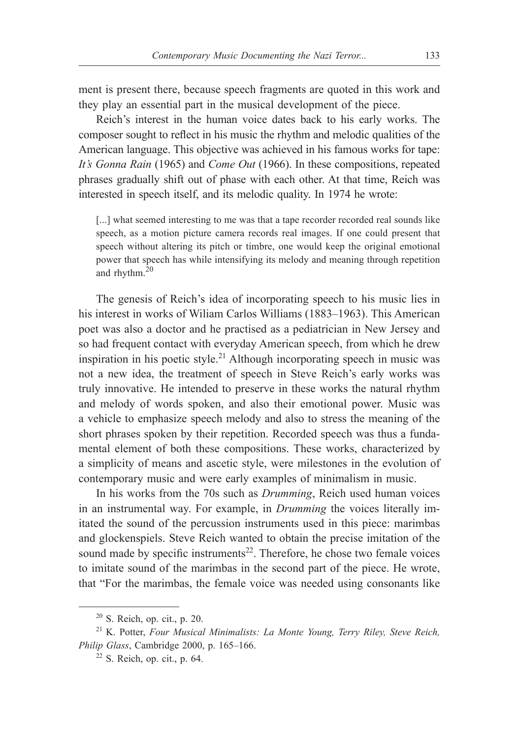ment is present there, because speech fragments are quoted in this work and they play an essential part in the musical development of the piece.

Reich's interest in the human voice dates back to his early works. The composer sought to reflect in his music the rhythm and melodic qualities of the American language. This objective was achieved in his famous works for tape: *It's Gonna Rain* (1965) and *Come Out* (1966). In these compositions, repeated phrases gradually shift out of phase with each other. At that time, Reich was interested in speech itself, and its melodic quality. In 1974 he wrote:

[...] what seemed interesting to me was that a tape recorder recorded real sounds like speech, as a motion picture camera records real images. If one could present that speech without altering its pitch or timbre, one would keep the original emotional power that speech has while intensifying its melody and meaning through repetition and rhythm.<sup>20</sup>

The genesis of Reich's idea of incorporating speech to his music lies in his interest in works of Wiliam Carlos Williams (1883–1963). This American poet was also a doctor and he practised as a pediatrician in New Jersey and so had frequent contact with everyday American speech, from which he drew inspiration in his poetic style.<sup>21</sup> Although incorporating speech in music was not a new idea, the treatment of speech in Steve Reich's early works was truly innovative. He intended to preserve in these works the natural rhythm and melody of words spoken, and also their emotional power. Music was a vehicle to emphasize speech melody and also to stress the meaning of the short phrases spoken by their repetition. Recorded speech was thus a fundamental element of both these compositions. These works, characterized by a simplicity of means and ascetic style, were milestones in the evolution of contemporary music and were early examples of minimalism in music.

In his works from the 70s such as *Drumming*, Reich used human voices in an instrumental way. For example, in *Drumming* the voices literally imitated the sound of the percussion instruments used in this piece: marimbas and glockenspiels. Steve Reich wanted to obtain the precise imitation of the sound made by specific instruments $^{22}$ . Therefore, he chose two female voices to imitate sound of the marimbas in the second part of the piece. He wrote, that "For the marimbas, the female voice was needed using consonants like

<sup>20</sup> S. Reich, op. cit., p. 20.

<sup>21</sup> K. Potter, *Four Musical Minimalists: La Monte Young, Terry Riley, Steve Reich, Philip Glass*, Cambridge 2000, p. 165–166.

 $22$  S. Reich, op. cit., p. 64.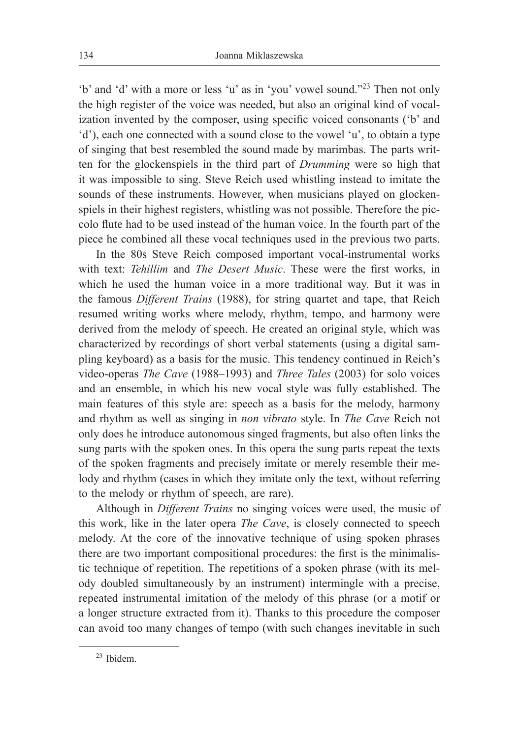'b' and 'd' with a more or less 'u' as in 'you' vowel sound."23 Then not only the high register of the voice was needed, but also an original kind of vocalization invented by the composer, using specific voiced consonants ('b' and 'd'), each one connected with a sound close to the vowel 'u', to obtain a type of singing that best resembled the sound made by marimbas. The parts written for the glockenspiels in the third part of *Drumming* were so high that it was impossible to sing. Steve Reich used whistling instead to imitate the sounds of these instruments. However, when musicians played on glockenspiels in their highest registers, whistling was not possible. Therefore the piccolo flute had to be used instead of the human voice. In the fourth part of the piece he combined all these vocal techniques used in the previous two parts.

In the 80s Steve Reich composed important vocal-instrumental works with text: *Tehillim* and *The Desert Music*. These were the first works, in which he used the human voice in a more traditional way. But it was in the famous *Different Trains* (1988), for string quartet and tape, that Reich resumed writing works where melody, rhythm, tempo, and harmony were derived from the melody of speech. He created an original style, which was characterized by recordings of short verbal statements (using a digital sampling keyboard) as a basis for the music. This tendency continued in Reich's video-operas *The Cave* (1988–1993) and *Three Tales* (2003) for solo voices and an ensemble, in which his new vocal style was fully established. The main features of this style are: speech as a basis for the melody, harmony and rhythm as well as singing in *non vibrato* style. In *The Cave* Reich not only does he introduce autonomous singed fragments, but also often links the sung parts with the spoken ones. In this opera the sung parts repeat the texts of the spoken fragments and precisely imitate or merely resemble their melody and rhythm (cases in which they imitate only the text, without referring to the melody or rhythm of speech, are rare).

Although in *Different Trains* no singing voices were used, the music of this work, like in the later opera *The Cave*, is closely connected to speech melody. At the core of the innovative technique of using spoken phrases there are two important compositional procedures: the first is the minimalistic technique of repetition. The repetitions of a spoken phrase (with its melody doubled simultaneously by an instrument) intermingle with a precise, repeated instrumental imitation of the melody of this phrase (or a motif or a longer structure extracted from it). Thanks to this procedure the composer can avoid too many changes of tempo (with such changes inevitable in such

<sup>23</sup> Ibidem.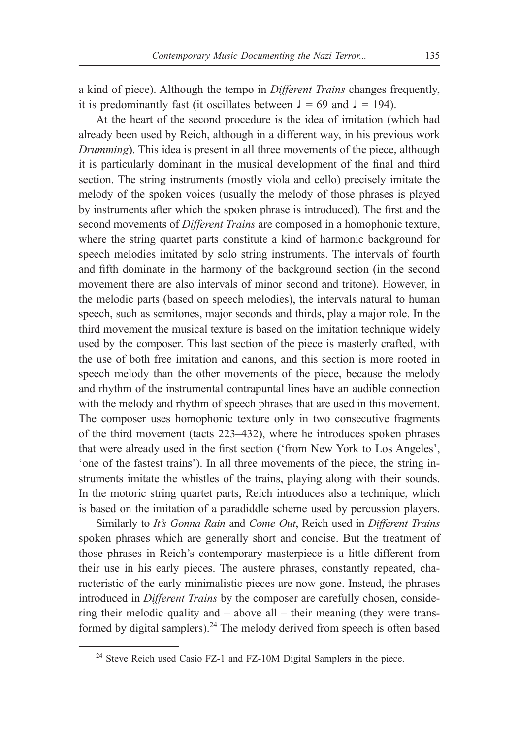a kind of piece). Although the tempo in *Different Trains* changes frequently, it is predominantly fast (it oscillates between  $\lambda = 69$  and  $\lambda = 194$ ).

At the heart of the second procedure is the idea of imitation (which had already been used by Reich, although in a different way, in his previous work *Drumming*). This idea is present in all three movements of the piece, although it is particularly dominant in the musical development of the final and third section. The string instruments (mostly viola and cello) precisely imitate the melody of the spoken voices (usually the melody of those phrases is played by instruments after which the spoken phrase is introduced). The first and the second movements of *Different Trains* are composed in a homophonic texture, where the string quartet parts constitute a kind of harmonic background for speech melodies imitated by solo string instruments. The intervals of fourth and fifth dominate in the harmony of the background section (in the second movement there are also intervals of minor second and tritone). However, in the melodic parts (based on speech melodies), the intervals natural to human speech, such as semitones, major seconds and thirds, play a major role. In the third movement the musical texture is based on the imitation technique widely used by the composer. This last section of the piece is masterly crafted, with the use of both free imitation and canons, and this section is more rooted in speech melody than the other movements of the piece, because the melody and rhythm of the instrumental contrapuntal lines have an audible connection with the melody and rhythm of speech phrases that are used in this movement. The composer uses homophonic texture only in two consecutive fragments of the third movement (tacts 223–432), where he introduces spoken phrases that were already used in the first section ('from New York to Los Angeles', 'one of the fastest trains'). In all three movements of the piece, the string instruments imitate the whistles of the trains, playing along with their sounds. In the motoric string quartet parts, Reich introduces also a technique, which is based on the imitation of a paradiddle scheme used by percussion players.

Similarly to *It's Gonna Rain* and *Come Out*, Reich used in *Different Trains* spoken phrases which are generally short and concise. But the treatment of those phrases in Reich's contemporary masterpiece is a little different from their use in his early pieces. The austere phrases, constantly repeated, characteristic of the early minimalistic pieces are now gone. Instead, the phrases introduced in *Different Trains* by the composer are carefully chosen, considering their melodic quality and – above all – their meaning (they were transformed by digital samplers).<sup>24</sup> The melody derived from speech is often based

<sup>&</sup>lt;sup>24</sup> Steve Reich used Casio FZ-1 and FZ-10M Digital Samplers in the piece.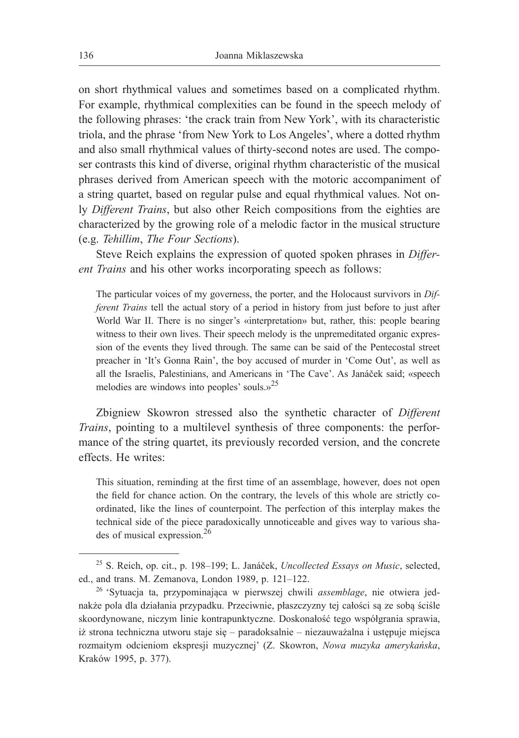on short rhythmical values and sometimes based on a complicated rhythm. For example, rhythmical complexities can be found in the speech melody of the following phrases: 'the crack train from New York', with its characteristic triola, and the phrase 'from New York to Los Angeles', where a dotted rhythm and also small rhythmical values of thirty-second notes are used. The composer contrasts this kind of diverse, original rhythm characteristic of the musical phrases derived from American speech with the motoric accompaniment of a string quartet, based on regular pulse and equal rhythmical values. Not only *Different Trains*, but also other Reich compositions from the eighties are characterized by the growing role of a melodic factor in the musical structure (e.g. *Tehillim*, *The Four Sections*).

Steve Reich explains the expression of quoted spoken phrases in *Different Trains* and his other works incorporating speech as follows:

The particular voices of my governess, the porter, and the Holocaust survivors in *Different Trains* tell the actual story of a period in history from just before to just after World War II. There is no singer's «interpretation» but, rather, this: people bearing witness to their own lives. Their speech melody is the unpremeditated organic expression of the events they lived through. The same can be said of the Pentecostal street preacher in 'It's Gonna Rain', the boy accused of murder in 'Come Out', as well as all the Israelis, Palestinians, and Americans in 'The Cave'. As Janáček said; «speech melodies are windows into peoples' souls. $v^{25}$ 

Zbigniew Skowron stressed also the synthetic character of *Different Trains*, pointing to a multilevel synthesis of three components: the performance of the string quartet, its previously recorded version, and the concrete effects. He writes:

This situation, reminding at the first time of an assemblage, however, does not open the field for chance action. On the contrary, the levels of this whole are strictly coordinated, like the lines of counterpoint. The perfection of this interplay makes the technical side of the piece paradoxically unnoticeable and gives way to various shades of musical expression.26

<sup>25</sup> S. Reich, op. cit., p. 198–199; L. Janáček, *Uncollected Essays on Music*, selected, ed., and trans. M. Zemanova, London 1989, p. 121–122.

<sup>26</sup> 'Sytuacja ta, przypominająca w pierwszej chwili *assemblage*, nie otwiera jednakże pola dla działania przypadku. Przeciwnie, płaszczyzny tej całości są ze sobą ściśle skoordynowane, niczym linie kontrapunktyczne. Doskonałość tego współgrania sprawia, iż strona techniczna utworu staje się – paradoksalnie – niezauważalna i ustępuje miejsca rozmaitym odcieniom ekspresji muzycznej' (Z. Skowron, *Nowa muzyka amerykańska*, Kraków 1995, p. 377).